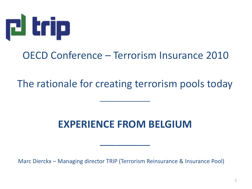

#### OECD Conference – Terrorism Insurance 2010

The rationale for creating terrorism pools today

\_\_\_\_\_\_\_\_\_\_\_\_

#### **EXPERIENCE FROM BELGIUM**

\_\_\_\_\_\_\_\_\_

Marc Dierckx – Managing director TRIP (Terrorism Reinsurance & Insurance Pool)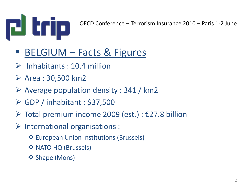

- BELGIUM Facts & Figures
- $\triangleright$  Inhabitants : 10.4 million
- $\triangleright$  Area : 30,500 km2
- $\triangleright$  Average population density : 341 / km2
- $\triangleright$  GDP / inhabitant : \$37,500
- $\triangleright$  Total premium income 2009 (est.) :  $\epsilon$ 27.8 billion
- $\triangleright$  International organisations :
	- European Union Institutions (Brussels)
	- ❖ NATO HQ (Brussels)
	- ❖ Shape (Mons)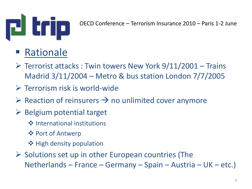

## Rationale

- $\triangleright$  Terrorist attacks : Twin towers New York 9/11/2001 Trains Madrid 3/11/2004 – Metro & bus station London 7/7/2005
- $\triangleright$  Terrorism risk is world-wide
- $\triangleright$  Reaction of reinsurers  $\rightarrow$  no unlimited cover anymore
- $\triangleright$  Belgium potential target
	- **❖** International institutions
	- ❖ Port of Antwerp
	- ❖ High density population
- $\triangleright$  Solutions set up in other European countries (The Netherlands – France – Germany – Spain – Austria – UK – etc.)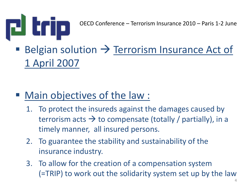

# Belgian solution  $\rightarrow$  Terrorism Insurance Act of 1 April 2007

#### ■ Main objectives of the law :

- 1. To protect the insureds against the damages caused by terrorism acts  $\rightarrow$  to compensate (totally / partially), in a timely manner, all insured persons.
- 2. To guarantee the stability and sustainability of the insurance industry.
- 3. To allow for the creation of a compensation system (=TRIP) to work out the solidarity system set up by the law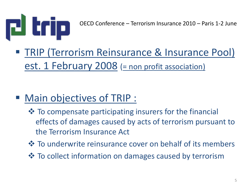

 TRIP (Terrorism Reinsurance & Insurance Pool) est. 1 February 2008 (= non profit association)

### Main objectives of TRIP :

- $\lozenge$  To compensate participating insurers for the financial effects of damages caused by acts of terrorism pursuant to the Terrorism Insurance Act
- **\*** To underwrite reinsurance cover on behalf of its members
- $\cdot$  **To collect information on damages caused by terrorism**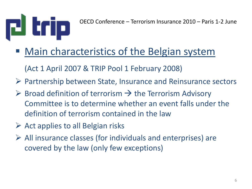

- Main characteristics of the Belgian system
	- (Act 1 April 2007 & TRIP Pool 1 February 2008)
- $\triangleright$  Partnership between State, Insurance and Reinsurance sectors
- $\triangleright$  Broad definition of terrorism  $\rightarrow$  the Terrorism Advisory Committee is to determine whether an event falls under the definition of terrorism contained in the law
- $\triangleright$  Act applies to all Belgian risks
- $\triangleright$  All insurance classes (for individuals and enterprises) are covered by the law (only few exceptions)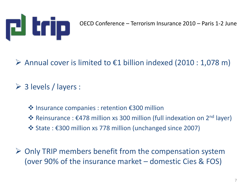

#### Annual cover is limited to  $\epsilon$ 1 billion indexed (2010 : 1,078 m)

 $\triangleright$  3 levels / layers :

- Insurance companies : retention €300 million
- \* Reinsurance : €478 million xs 300 million (full indexation on 2<sup>nd</sup> layer)
- State : €300 million xs 778 million (unchanged since 2007)
- $\triangleright$  Only TRIP members benefit from the compensation system (over 90% of the insurance market – domestic Cies & FOS)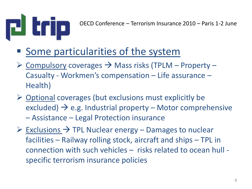

- Some particularities of the system
- $\triangleright$  Compulsory coverages  $\rightarrow$  Mass risks (TPLM Property Casualty - Workmen's compensation – Life assurance – Health)
- $\triangleright$  Optional coverages (but exclusions must explicitly be excluded)  $\rightarrow$  e.g. Industrial property – Motor comprehensive
	- Assistance Legal Protection insurance
- $\triangleright$  Exclusions  $\rightarrow$  TPL Nuclear energy Damages to nuclear facilities – Railway rolling stock, aircraft and ships – TPL in connection with such vehicles – risks related to ocean hull specific terrorism insurance policies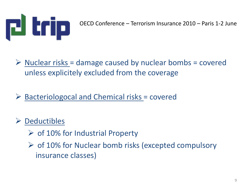

 $\triangleright$  Nuclear risks = damage caused by nuclear bombs = covered unless explicitely excluded from the coverage

 $\triangleright$  Bacteriologocal and Chemical risks = covered

#### $\triangleright$  Deductibles

- $\triangleright$  of 10% for Industrial Property
- $\triangleright$  of 10% for Nuclear bomb risks (excepted compulsory insurance classes)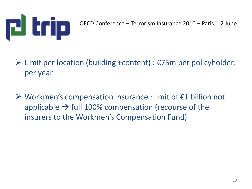

- $\triangleright$  Limit per location (building +content) :  $\epsilon$ 75m per policyholder, per year
- $\triangleright$  Workmen's compensation insurance : limit of  $\epsilon$ 1 billion not applicable  $\rightarrow$  full 100% compensation (recourse of the insurers to the Workmen's Compensation Fund)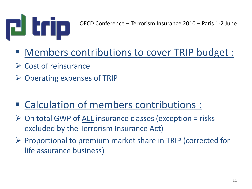

- Members contributions to cover TRIP budget :
- $\triangleright$  Cost of reinsurance
- $\triangleright$  Operating expenses of TRIP
- Calculation of members contributions :
- $\triangleright$  On total GWP of ALL insurance classes (exception = risks excluded by the Terrorism Insurance Act)
- $\triangleright$  Proportional to premium market share in TRIP (corrected for life assurance business)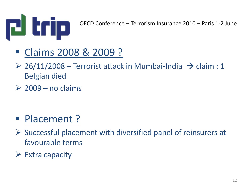

- Claims 2008 & 2009 ?
- $\geq$  26/11/2008 Terrorist attack in Mumbai-India  $\rightarrow$  claim : 1 Belgian died
- $\geq 2009$  no claims

- **Placement ?**
- $\triangleright$  Successful placement with diversified panel of reinsurers at favourable terms
- $\triangleright$  Extra capacity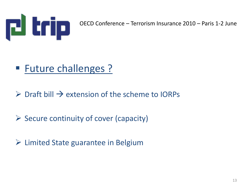

### ■ Future challenges ?

 $\triangleright$  Draft bill  $\rightarrow$  extension of the scheme to IORPs

 $\triangleright$  Secure continuity of cover (capacity)

 $\triangleright$  Limited State guarantee in Belgium